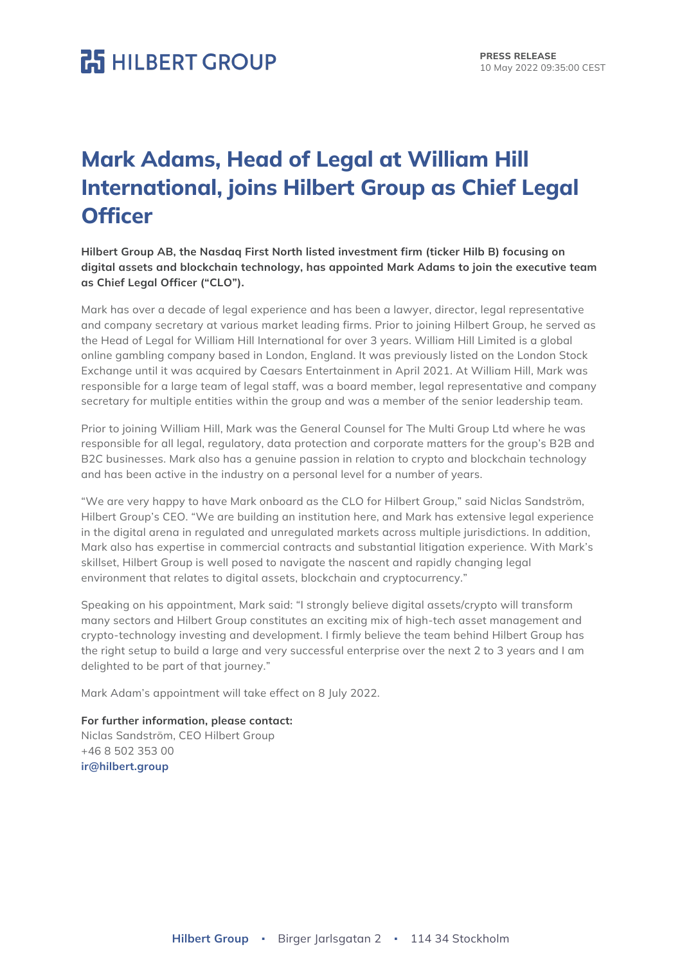## **HILBERT GROUP**

## **Mark Adams, Head of Legal at William Hill International, joins Hilbert Group as Chief Legal Officer**

**Hilbert Group AB, the Nasdaq First North listed investment firm (ticker Hilb B) focusing on digital assets and blockchain technology, has appointed Mark Adams to join the executive team as Chief Legal Officer ("CLO").**

Mark has over a decade of legal experience and has been a lawyer, director, legal representative and company secretary at various market leading firms. Prior to joining Hilbert Group, he served as the Head of Legal for William Hill International for over 3 years. William Hill Limited is a global online gambling company based in London, England. It was previously listed on the London Stock Exchange until it was acquired by Caesars Entertainment in April 2021. At William Hill, Mark was responsible for a large team of legal staff, was a board member, legal representative and company secretary for multiple entities within the group and was a member of the senior leadership team.

Prior to joining William Hill, Mark was the General Counsel for The Multi Group Ltd where he was responsible for all legal, regulatory, data protection and corporate matters for the group's B2B and B2C businesses. Mark also has a genuine passion in relation to crypto and blockchain technology and has been active in the industry on a personal level for a number of years.

"We are very happy to have Mark onboard as the CLO for Hilbert Group," said Niclas Sandström, Hilbert Group's CEO. "We are building an institution here, and Mark has extensive legal experience in the digital arena in regulated and unregulated markets across multiple jurisdictions. In addition, Mark also has expertise in commercial contracts and substantial litigation experience. With Mark's skillset, Hilbert Group is well posed to navigate the nascent and rapidly changing legal environment that relates to digital assets, blockchain and cryptocurrency."

Speaking on his appointment, Mark said: "I strongly believe digital assets/crypto will transform many sectors and Hilbert Group constitutes an exciting mix of high-tech asset management and crypto-technology investing and development. I firmly believe the team behind Hilbert Group has the right setup to build a large and very successful enterprise over the next 2 to 3 years and I am delighted to be part of that journey."

Mark Adam's appointment will take effect on 8 July 2022.

### **For further information, please contact:**

Niclas Sandström, CEO Hilbert Group +46 8 502 353 00 **ir@hilbert.group**